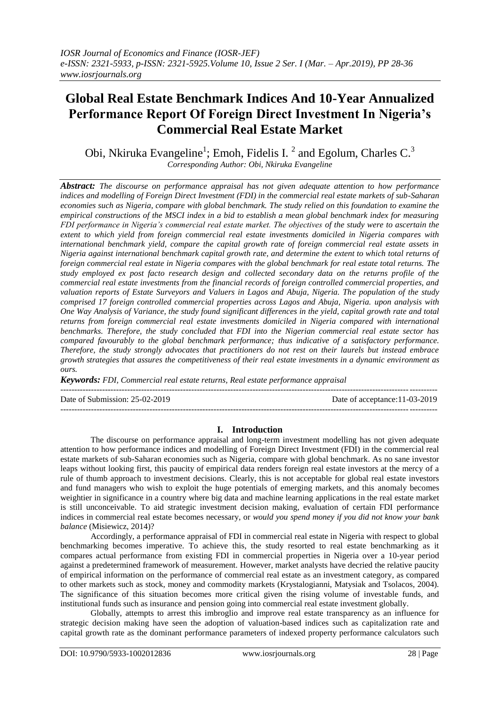# **Global Real Estate Benchmark Indices And 10-Year Annualized Performance Report Of Foreign Direct Investment In Nigeria's Commercial Real Estate Market**

Obi, Nkiruka Evangeline<sup>1</sup>; Emoh, Fidelis I.<sup>2</sup> and Egolum, Charles C.<sup>3</sup> *Corresponding Author: Obi, Nkiruka Evangeline*

*Abstract: The discourse on performance appraisal has not given adequate attention to how performance indices and modelling of Foreign Direct Investment (FDI) in the commercial real estate markets of sub-Saharan economies such as Nigeria, compare with global benchmark. The study relied on this foundation to examine the empirical constructions of the MSCI index in a bid to establish a mean global benchmark index for measuring FDI performance in Nigeria's commercial real estate market. The objectives of the study were to ascertain the extent to which yield from foreign commercial real estate investments domiciled in Nigeria compares with international benchmark yield, compare the capital growth rate of foreign commercial real estate assets in Nigeria against international benchmark capital growth rate, and determine the extent to which total returns of foreign commercial real estate in Nigeria compares with the global benchmark for real estate total returns. The study employed ex post facto research design and collected secondary data on the returns profile of the commercial real estate investments from the financial records of foreign controlled commercial properties, and valuation reports of Estate Surveyors and Valuers in Lagos and Abuja, Nigeria. The population of the study comprised 17 foreign controlled commercial properties across Lagos and Abuja, Nigeria. upon analysis with One Way Analysis of Variance, the study found significant differences in the yield, capital growth rate and total returns from foreign commercial real estate investments domiciled in Nigeria compared with international benchmarks. Therefore, the study concluded that FDI into the Nigerian commercial real estate sector has compared favourably to the global benchmark performance; thus indicative of a satisfactory performance. Therefore, the study strongly advocates that practitioners do not rest on their laurels but instead embrace growth strategies that assures the competitiveness of their real estate investments in a dynamic environment as ours.*

*Keywords: FDI, Commercial real estate returns, Real estate performance appraisal*

 $-1\leq i\leq n-1$ 

Date of Submission: 25-02-2019 Date of acceptance:11-03-2019

---------------------------------------------------------------------------------------------------------------------------------------

**I. Introduction**

The discourse on performance appraisal and long-term investment modelling has not given adequate attention to how performance indices and modelling of Foreign Direct Investment (FDI) in the commercial real estate markets of sub-Saharan economies such as Nigeria, compare with global benchmark. As no sane investor leaps without looking first, this paucity of empirical data renders foreign real estate investors at the mercy of a rule of thumb approach to investment decisions. Clearly, this is not acceptable for global real estate investors and fund managers who wish to exploit the huge potentials of emerging markets, and this anomaly becomes weightier in significance in a country where big data and machine learning applications in the real estate market is still unconceivable. To aid strategic investment decision making, evaluation of certain FDI performance indices in commercial real estate becomes necessary, or *would you spend money if you did not know your bank balance* (Misiewicz, 2014)?

Accordingly, a performance appraisal of FDI in commercial real estate in Nigeria with respect to global benchmarking becomes imperative. To achieve this, the study resorted to real estate benchmarking as it compares actual performance from existing FDI in commercial properties in Nigeria over a 10-year period against a predetermined framework of measurement. However, market analysts have decried the relative paucity of empirical information on the performance of commercial real estate as an investment category, as compared to other markets such as stock, money and commodity markets (Krystalogianni, Matysiak and Tsolacos, 2004). The significance of this situation becomes more critical given the rising volume of investable funds, and institutional funds such as insurance and pension going into commercial real estate investment globally.

Globally, attempts to arrest this imbroglio and improve real estate transparency as an influence for strategic decision making have seen the adoption of valuation-based indices such as capitalization rate and capital growth rate as the dominant performance parameters of indexed property performance calculators such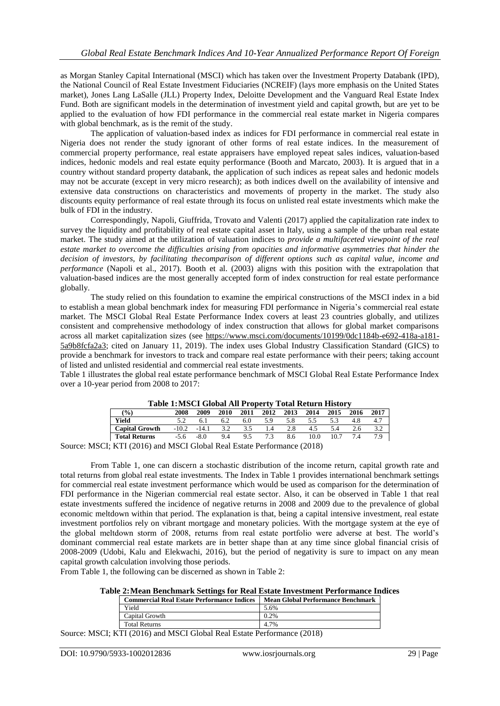as Morgan Stanley Capital International (MSCI) which has taken over the Investment Property Databank (IPD), the National Council of Real Estate Investment Fiduciaries (NCREIF) (lays more emphasis on the United States market), Jones Lang LaSalle (JLL) Property Index, Deloitte Development and the Vanguard Real Estate Index Fund. Both are significant models in the determination of investment yield and capital growth, but are yet to be applied to the evaluation of how FDI performance in the commercial real estate market in Nigeria compares with global benchmark, as is the remit of the study.

The application of valuation-based index as indices for FDI performance in commercial real estate in Nigeria does not render the study ignorant of other forms of real estate indices. In the measurement of commercial property performance, real estate appraisers have employed repeat sales indices, valuation-based indices, hedonic models and real estate equity performance (Booth and Marcato, 2003). It is argued that in a country without standard property databank, the application of such indices as repeat sales and hedonic models may not be accurate (except in very micro research); as both indices dwell on the availability of intensive and extensive data constructions on characteristics and movements of property in the market. The study also discounts equity performance of real estate through its focus on unlisted real estate investments which make the bulk of FDI in the industry.

Correspondingly, Napoli, Giuffrida, Trovato and Valenti (2017) applied the capitalization rate index to survey the liquidity and profitability of real estate capital asset in Italy, using a sample of the urban real estate market. The study aimed at the utilization of valuation indices to *provide a multifaceted viewpoint of the real estate market to overcome the difficulties arising from opacities and informative asymmetries that hinder the decision of investors, by facilitating thecomparison of different options such as capital value, income and performance* (Napoli et al., 2017)*.* Booth et al. (2003) aligns with this position with the extrapolation that valuation-based indices are the most generally accepted form of index construction for real estate performance globally.

The study relied on this foundation to examine the empirical constructions of the MSCI index in a bid to establish a mean global benchmark index for measuring FDI performance in Nigeria's commercial real estate market. The MSCI Global Real Estate Performance Index covers at least 23 countries globally, and utilizes consistent and comprehensive methodology of index construction that allows for global market comparisons across all market capitalization sizes (see [https://www.msci.com/documents/10199/0dc1184b-e692-418a-a181-](https://www.msci.com/documents/10199/0dc1184b-e692-418a-a181-5a9b8fcfa2a3) [5a9b8fcfa2a3;](https://www.msci.com/documents/10199/0dc1184b-e692-418a-a181-5a9b8fcfa2a3) cited on January 11, 2019). The index uses Global Industry Classification Standard (GICS) to provide a benchmark for investors to track and compare real estate performance with their peers; taking account of listed and unlisted residential and commercial real estate investments.

Table 1 illustrates the global real estate performance benchmark of MSCI Global Real Estate Performance Index over a 10-year period from 2008 to 2017:

| Table 1: MSCT Global All Froperty Total Return History |         |         |      |      |      |      |                                    |      |      |      |
|--------------------------------------------------------|---------|---------|------|------|------|------|------------------------------------|------|------|------|
| (%)                                                    | 2008    | 2009    | 2010 | 2011 | 2012 | 2013 | 2014                               | 2015 | 2016 | 2017 |
| Yield                                                  |         |         | 6.2  | 6.0  | 5.9  | 5.8  | 5.5                                |      | 4.8  |      |
| <b>Capital Growth</b>                                  | $-10.2$ | $-14.1$ | 3.2  | 3.5  | 14   | 2.8  |                                    | 5.4  |      |      |
| <b>Total Returns</b>                                   | -5.6    | $-8.0$  | 9.4  | 95   |      | 8.6  | 10.0                               | 10.7 |      | 7.9  |
|                                                        |         |         |      |      |      |      | $\sim$ $\sim$ $\sim$ $\sim$ $\sim$ |      |      |      |

**Table 1:MSCI Global All Property Total Return History**

Source: MSCI; KTI (2016) and MSCI Global Real Estate Performance (2018)

From Table 1, one can discern a stochastic distribution of the income return, capital growth rate and total returns from global real estate investments. The Index in Table 1 provides international benchmark settings for commercial real estate investment performance which would be used as comparison for the determination of FDI performance in the Nigerian commercial real estate sector. Also, it can be observed in Table 1 that real estate investments suffered the incidence of negative returns in 2008 and 2009 due to the prevalence of global economic meltdown within that period. The explanation is that, being a capital intensive investment, real estate investment portfolios rely on vibrant mortgage and monetary policies. With the mortgage system at the eye of the global meltdown storm of 2008, returns from real estate portfolio were adverse at best. The world"s dominant commercial real estate markets are in better shape than at any time since global financial crisis of 2008-2009 (Udobi, Kalu and Elekwachi, 2016), but the period of negativity is sure to impact on any mean capital growth calculation involving those periods.

From Table 1, the following can be discerned as shown in Table 2:

|  |  |  |  |  |  |  | Table 2: Mean Benchmark Settings for Real Estate Investment Performance Indices |  |
|--|--|--|--|--|--|--|---------------------------------------------------------------------------------|--|
|--|--|--|--|--|--|--|---------------------------------------------------------------------------------|--|

| <b>Commercial Real Estate Performance Indices</b> | <b>Mean Global Performance Benchmark</b> |
|---------------------------------------------------|------------------------------------------|
| Yield                                             | 5.6%                                     |
| Capital Growth                                    | 0.2%                                     |
| <b>Total Returns</b>                              | 4.7%                                     |

Source: MSCI; KTI (2016) and MSCI Global Real Estate Performance (2018)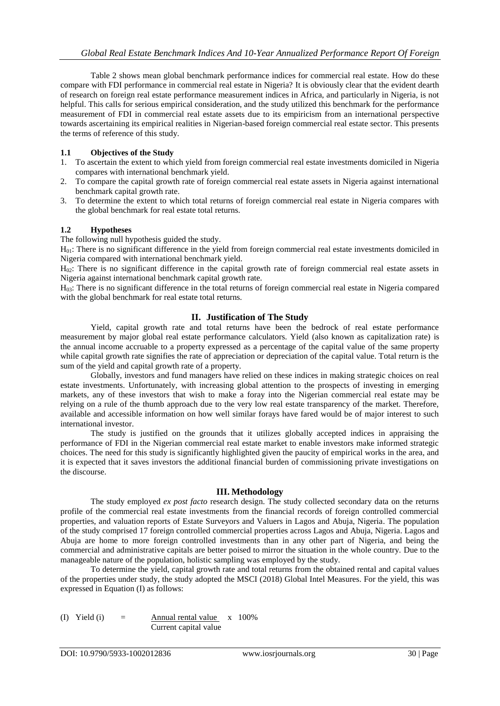Table 2 shows mean global benchmark performance indices for commercial real estate. How do these compare with FDI performance in commercial real estate in Nigeria? It is obviously clear that the evident dearth of research on foreign real estate performance measurement indices in Africa, and particularly in Nigeria, is not helpful. This calls for serious empirical consideration, and the study utilized this benchmark for the performance measurement of FDI in commercial real estate assets due to its empiricism from an international perspective towards ascertaining its empirical realities in Nigerian-based foreign commercial real estate sector. This presents the terms of reference of this study.

#### **1.1 Objectives of the Study**

- 1. To ascertain the extent to which yield from foreign commercial real estate investments domiciled in Nigeria compares with international benchmark yield.
- 2. To compare the capital growth rate of foreign commercial real estate assets in Nigeria against international benchmark capital growth rate.
- 3. To determine the extent to which total returns of foreign commercial real estate in Nigeria compares with the global benchmark for real estate total returns.

#### **1.2 Hypotheses**

The following null hypothesis guided the study.

 $H<sub>01</sub>$ : There is no significant difference in the yield from foreign commercial real estate investments domiciled in Nigeria compared with international benchmark yield.

 $H<sub>02</sub>$ : There is no significant difference in the capital growth rate of foreign commercial real estate assets in Nigeria against international benchmark capital growth rate.

H03: There is no significant difference in the total returns of foreign commercial real estate in Nigeria compared with the global benchmark for real estate total returns.

## **II. Justification of The Study**

Yield, capital growth rate and total returns have been the bedrock of real estate performance measurement by major global real estate performance calculators. Yield (also known as capitalization rate) is the annual income accruable to a property expressed as a percentage of the capital value of the same property while capital growth rate signifies the rate of appreciation or depreciation of the capital value. Total return is the sum of the yield and capital growth rate of a property.

Globally, investors and fund managers have relied on these indices in making strategic choices on real estate investments. Unfortunately, with increasing global attention to the prospects of investing in emerging markets, any of these investors that wish to make a foray into the Nigerian commercial real estate may be relying on a rule of the thumb approach due to the very low real estate transparency of the market. Therefore, available and accessible information on how well similar forays have fared would be of major interest to such international investor.

The study is justified on the grounds that it utilizes globally accepted indices in appraising the performance of FDI in the Nigerian commercial real estate market to enable investors make informed strategic choices. The need for this study is significantly highlighted given the paucity of empirical works in the area, and it is expected that it saves investors the additional financial burden of commissioning private investigations on the discourse.

#### **III. Methodology**

The study employed *ex post facto* research design. The study collected secondary data on the returns profile of the commercial real estate investments from the financial records of foreign controlled commercial properties, and valuation reports of Estate Surveyors and Valuers in Lagos and Abuja, Nigeria. The population of the study comprised 17 foreign controlled commercial properties across Lagos and Abuja, Nigeria. Lagos and Abuja are home to more foreign controlled investments than in any other part of Nigeria, and being the commercial and administrative capitals are better poised to mirror the situation in the whole country. Due to the manageable nature of the population, holistic sampling was employed by the study.

To determine the yield, capital growth rate and total returns from the obtained rental and capital values of the properties under study, the study adopted the MSCI (2018) Global Intel Measures. For the yield, this was expressed in Equation (I) as follows:

(I) Yield (i)  $=$  Annual rental value  $x = 100\%$ Current capital value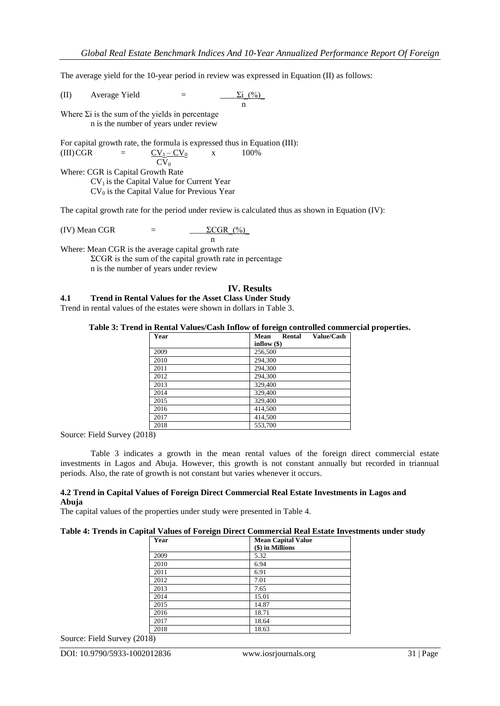The average yield for the 10-year period in review was expressed in Equation (II) as follows:

(II) Average Yield  $=$   $\frac{\sum i_1(\%)}{2i_1(\%)}$ n

Where  $\Sigma$ i is the sum of the yields in percentage n is the number of years under review

For capital growth rate, the formula is expressed thus in Equation (III):  $(III) CGR = CV_1 - CV_0$  x 100%

$$
\overline{\text{CV}_0}
$$

Where: CGR is Capital Growth Rate  $CV<sub>1</sub>$  is the Capital Value for Current Year  $CV_0$  is the Capital Value for Previous Year

The capital growth rate for the period under review is calculated thus as shown in Equation (IV):

(IV) Mean CGR = 
$$
\frac{\Sigma CGR_{0}^{(9)} }{n}
$$

Where: Mean CGR is the average capital growth rate

 $\Sigma$ CGR is the sum of the capital growth rate in percentage n is the number of years under review

#### **IV. Results**

#### **4.1 Trend in Rental Values for the Asset Class Under Study**

Trend in rental values of the estates were shown in dollars in Table 3.

#### **Table 3: Trend in Rental Values/Cash Inflow of foreign controlled commercial properties.**

| Year | Value/Cash<br>Mean<br>Rental |
|------|------------------------------|
|      | inflow $(\$)$                |
| 2009 | 256,500                      |
| 2010 | 294,300                      |
| 2011 | 294,300                      |
| 2012 | 294,300                      |
| 2013 | 329,400                      |
| 2014 | 329,400                      |
| 2015 | 329,400                      |
| 2016 | 414,500                      |
| 2017 | 414,500                      |
| 2018 | 553.700                      |

Source: Field Survey (2018)

Table 3 indicates a growth in the mean rental values of the foreign direct commercial estate investments in Lagos and Abuja. However, this growth is not constant annually but recorded in triannual periods. Also, the rate of growth is not constant but varies whenever it occurs.

#### **4.2 Trend in Capital Values of Foreign Direct Commercial Real Estate Investments in Lagos and Abuja**

The capital values of the properties under study were presented in Table 4.

#### **Table 4: Trends in Capital Values of Foreign Direct Commercial Real Estate Investments under study**

| Year | <b>Mean Capital Value</b><br>(\$) in Millions |
|------|-----------------------------------------------|
| 2009 | 5.32                                          |
| 2010 | 6.94                                          |
| 2011 | 6.91                                          |
| 2012 | 7.01                                          |
| 2013 | 7.65                                          |
| 2014 | 15.01                                         |
| 2015 | 14.87                                         |
| 2016 | 18.71                                         |
| 2017 | 18.64                                         |
| 2018 | 18.63                                         |

Source: Field Survey (2018)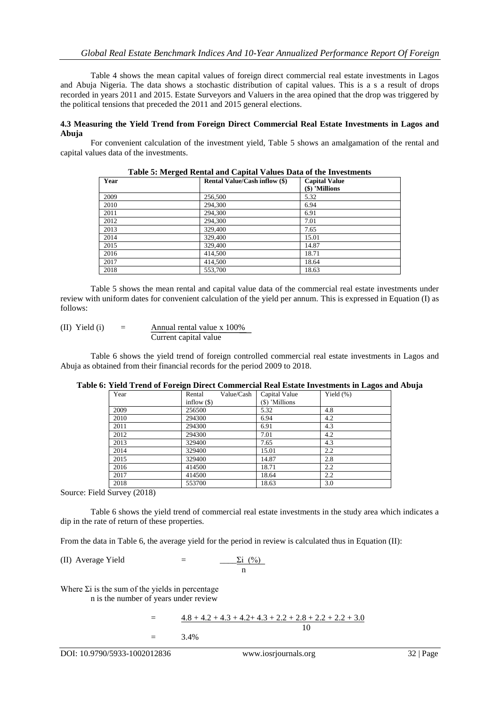Table 4 shows the mean capital values of foreign direct commercial real estate investments in Lagos and Abuja Nigeria. The data shows a stochastic distribution of capital values. This is a s a result of drops recorded in years 2011 and 2015. Estate Surveyors and Valuers in the area opined that the drop was triggered by the political tensions that preceded the 2011 and 2015 general elections.

#### **4.3 Measuring the Yield Trend from Foreign Direct Commercial Real Estate Investments in Lagos and Abuja**

For convenient calculation of the investment yield, Table 5 shows an amalgamation of the rental and capital values data of the investments.

| Year | <b>Rental Value/Cash inflow (\$)</b> | <b>Capital Value</b> |
|------|--------------------------------------|----------------------|
|      |                                      | $(\$)$ 'Millions     |
| 2009 | 256,500                              | 5.32                 |
| 2010 | 294,300                              | 6.94                 |
| 2011 | 294,300                              | 6.91                 |
| 2012 | 294,300                              | 7.01                 |
| 2013 | 329,400                              | 7.65                 |
| 2014 | 329,400                              | 15.01                |
| 2015 | 329,400                              | 14.87                |
| 2016 | 414,500                              | 18.71                |
| 2017 | 414,500                              | 18.64                |
| 2018 | 553,700                              | 18.63                |

**Table 5: Merged Rental and Capital Values Data of the Investments**

Table 5 shows the mean rental and capital value data of the commercial real estate investments under review with uniform dates for convenient calculation of the yield per annum. This is expressed in Equation (I) as follows:

(II) Yield (i)  $=$  Annual rental value x 100% Current capital value

Table 6 shows the yield trend of foreign controlled commercial real estate investments in Lagos and Abuja as obtained from their financial records for the period 2009 to 2018.

| $\frac{1}{2}$ |                      |                | $\frac{1}{2}$ |
|---------------|----------------------|----------------|---------------|
| Year          | Value/Cash<br>Rental | Capital Value  | Yield $(\%)$  |
|               | inflow $(\$)$        | (\$) 'Millions |               |
| 2009          | 256500               | 5.32           | 4.8           |
| 2010          | 294300               | 6.94           | 4.2           |
| 2011          | 294300               | 6.91           | 4.3           |
| 2012          | 294300               | 7.01           | 4.2           |
| 2013          | 329400               | 7.65           | 4.3           |
| 2014          | 329400               | 15.01          | 2.2           |
| 2015          | 329400               | 14.87          | 2.8           |
| 2016          | 414500               | 18.71          | 2.2           |
| 2017          | 414500               | 18.64          | 2.2           |
| 2018          | 553700               | 18.63          | 3.0           |

#### **Table 6: Yield Trend of Foreign Direct Commercial Real Estate Investments in Lagos and Abuja**

Source: Field Survey (2018)

Table 6 shows the yield trend of commercial real estate investments in the study area which indicates a dip in the rate of return of these properties.

From the data in Table 6, the average yield for the period in review is calculated thus in Equation (II):

(II) Average Yield  $=$ 

$$
\frac{\sum i_{\text{0}}\left(\frac{0}{0}\right)}{n}
$$

Where  $\Sigma$ i is the sum of the yields in percentage n is the number of years under review

> $=$   $\frac{4.8 + 4.2 + 4.3 + 4.2 + 4.3 + 2.2 + 2.8 + 2.2 + 2.2 + 3.0}{4.8 + 4.2 + 4.3 + 4.2 + 4.3 + 2.2 + 2.8 + 2.2 + 2.2 + 3.0}$ 10  $=$  3.4%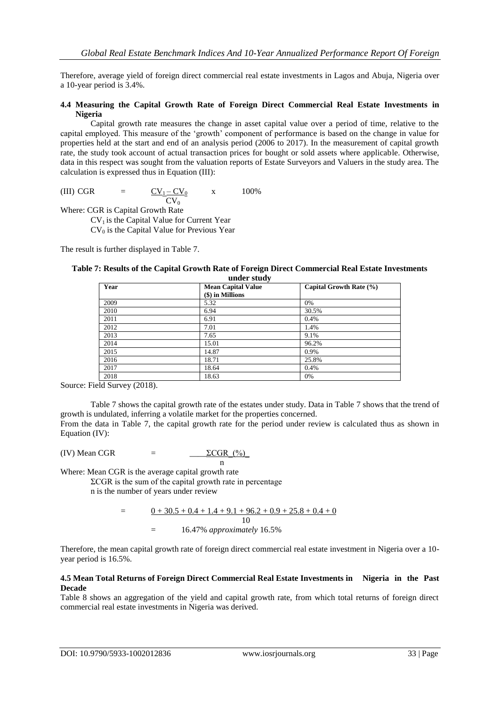Therefore, average yield of foreign direct commercial real estate investments in Lagos and Abuja, Nigeria over a 10-year period is 3.4%.

#### **4.4 Measuring the Capital Growth Rate of Foreign Direct Commercial Real Estate Investments in Nigeria**

Capital growth rate measures the change in asset capital value over a period of time, relative to the capital employed. This measure of the "growth" component of performance is based on the change in value for properties held at the start and end of an analysis period (2006 to 2017). In the measurement of capital growth rate, the study took account of actual transaction prices for bought or sold assets where applicable. Otherwise, data in this respect was sought from the valuation reports of Estate Surveyors and Valuers in the study area. The calculation is expressed thus in Equation (III):

(III) CGR =  $CV_1 - CV_0$  x 100%  $\overline{\text{CV}_0}$ 

Where: CGR is Capital Growth Rate  $CV<sub>1</sub>$  is the Capital Value for Current Year  $CV_0$  is the Capital Value for Previous Year

The result is further displayed in Table 7.

| under study |                                               |                         |  |  |  |
|-------------|-----------------------------------------------|-------------------------|--|--|--|
| Year        | <b>Mean Capital Value</b><br>(\$) in Millions | Capital Growth Rate (%) |  |  |  |
| 2009        | 5.32                                          | 0%                      |  |  |  |
| 2010        | 6.94                                          | 30.5%                   |  |  |  |
| 2011        | 6.91                                          | 0.4%                    |  |  |  |
| 2012        | 7.01                                          | 1.4%                    |  |  |  |
| 2013        | 7.65                                          | 9.1%                    |  |  |  |
| 2014        | 15.01                                         | 96.2%                   |  |  |  |
| 2015        | 14.87                                         | 0.9%                    |  |  |  |
| 2016        | 18.71                                         | 25.8%                   |  |  |  |
| 2017        | 18.64                                         | 0.4%                    |  |  |  |
| 2018        | 18.63                                         | 0%                      |  |  |  |

**Table 7: Results of the Capital Growth Rate of Foreign Direct Commercial Real Estate Investments** 

Source: Field Survey (2018).

Table 7 shows the capital growth rate of the estates under study. Data in Table 7 shows that the trend of growth is undulated, inferring a volatile market for the properties concerned.

From the data in Table 7, the capital growth rate for the period under review is calculated thus as shown in Equation (IV):

(IV) Mean CGR  $=$   $\Sigma \text{CGR}$  (%)

Where: Mean CGR is the average capital growth rate

 $\Sigma$ CGR is the sum of the capital growth rate in percentage n is the number of years under review

> $=$  0 + 30.5 + 0.4 + 1.4 + 9.1 + 96.2 + 0.9 + 25.8 + 0.4 + 0 10 = 16.47% *approximately* 16.5%

n

Therefore, the mean capital growth rate of foreign direct commercial real estate investment in Nigeria over a 10 year period is 16.5%.

#### **4.5 Mean Total Returns of Foreign Direct Commercial Real Estate Investments in Nigeria in the Past Decade**

Table 8 shows an aggregation of the yield and capital growth rate, from which total returns of foreign direct commercial real estate investments in Nigeria was derived.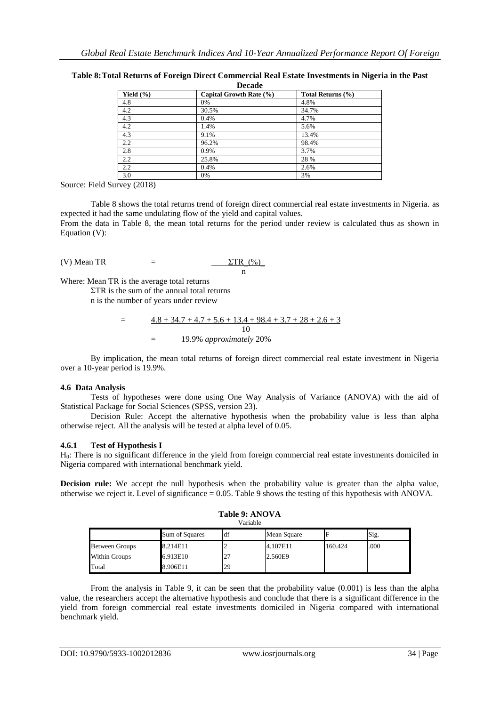|               | vuuu                    |                   |  |  |  |  |  |  |
|---------------|-------------------------|-------------------|--|--|--|--|--|--|
| Yield $(\% )$ | Capital Growth Rate (%) | Total Returns (%) |  |  |  |  |  |  |
| 4.8           | 0%                      | 4.8%              |  |  |  |  |  |  |
| 4.2           | 30.5%                   | 34.7%             |  |  |  |  |  |  |
| 4.3           | 0.4%                    | 4.7%              |  |  |  |  |  |  |
| 4.2           | 1.4%                    | 5.6%              |  |  |  |  |  |  |
| 4.3           | 9.1%                    | 13.4%             |  |  |  |  |  |  |
| 2.2           | 96.2%                   | 98.4%             |  |  |  |  |  |  |
| 2.8           | 0.9%                    | 3.7%              |  |  |  |  |  |  |
| 2.2           | 25.8%                   | 28 %              |  |  |  |  |  |  |
| 2.2           | 0.4%                    | 2.6%              |  |  |  |  |  |  |
| 3.0           | 0%                      | 3%                |  |  |  |  |  |  |

**Table 8:Total Returns of Foreign Direct Commercial Real Estate Investments in Nigeria in the Past Decade**

Source: Field Survey (2018)

Table 8 shows the total returns trend of foreign direct commercial real estate investments in Nigeria. as expected it had the same undulating flow of the yield and capital values.

From the data in Table 8, the mean total returns for the period under review is calculated thus as shown in Equation (V):

(V) Mean TR = 
$$
\frac{\Sigma TR (96)}{n}
$$

Where: Mean TR is the average total returns

 $\Sigma$ TR is the sum of the annual total returns n is the number of years under review

> $=$   $4.8 + 34.7 + 4.7 + 5.6 + 13.4 + 98.4 + 3.7 + 28 + 2.6 + 3$ 10 = 19.9% *approximately* 20%

By implication, the mean total returns of foreign direct commercial real estate investment in Nigeria over a 10-year period is 19.9%.

## **4.6 Data Analysis**

Tests of hypotheses were done using One Way Analysis of Variance (ANOVA) with the aid of Statistical Package for Social Sciences (SPSS, version 23).

Decision Rule: Accept the alternative hypothesis when the probability value is less than alpha otherwise reject. All the analysis will be tested at alpha level of 0.05.

## **4.6.1 Test of Hypothesis I**

H0: There is no significant difference in the yield from foreign commercial real estate investments domiciled in Nigeria compared with international benchmark yield.

**Decision rule:** We accept the null hypothesis when the probability value is greater than the alpha value, otherwise we reject it. Level of significance = 0.05. Table 9 shows the testing of this hypothesis with ANOVA.

| Table 9: ANOVA |  |  |
|----------------|--|--|
|                |  |  |

|                       |                | Variable |             |         |      |
|-----------------------|----------------|----------|-------------|---------|------|
|                       | Sum of Squares | df       | Mean Square |         | Sig. |
| <b>Between Groups</b> | 8.214E11       |          | 4.107E11    | 160.424 | .000 |
| Within Groups         | 6.913E10       | 27       | 2.560E9     |         |      |
| Total                 | 8.906E11       | 29       |             |         |      |

From the analysis in Table 9, it can be seen that the probability value (0.001) is less than the alpha value, the researchers accept the alternative hypothesis and conclude that there is a significant difference in the yield from foreign commercial real estate investments domiciled in Nigeria compared with international benchmark yield.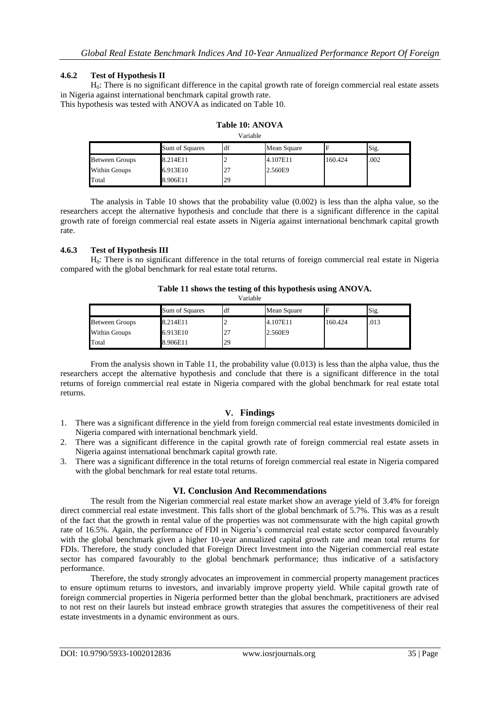#### **4.6.2 Test of Hypothesis II**

H0: There is no significant difference in the capital growth rate of foreign commercial real estate assets in Nigeria against international benchmark capital growth rate.

This hypothesis was tested with ANOVA as indicated on Table 10.

| Variable       |                |     |             |         |      |  |  |
|----------------|----------------|-----|-------------|---------|------|--|--|
|                | Sum of Squares | df  | Mean Square |         | Sig. |  |  |
| Between Groups | 8.214E11       |     | 4.107E11    | 160.424 | .002 |  |  |
| Within Groups  | 6.913E10       | ا ک | 2.560E9     |         |      |  |  |
| Total          | 8.906E11       | 29  |             |         |      |  |  |

| Table 10: ANOVA |  |  |  |
|-----------------|--|--|--|
|                 |  |  |  |

The analysis in Table 10 shows that the probability value (0.002) is less than the alpha value, so the researchers accept the alternative hypothesis and conclude that there is a significant difference in the capital growth rate of foreign commercial real estate assets in Nigeria against international benchmark capital growth rate.

## **4.6.3 Test of Hypothesis III**

H0: There is no significant difference in the total returns of foreign commercial real estate in Nigeria compared with the global benchmark for real estate total returns.

| Variable              |                |          |             |         |      |  |
|-----------------------|----------------|----------|-------------|---------|------|--|
|                       | Sum of Squares | df       | Mean Square |         | Sig. |  |
| <b>Between Groups</b> | 8.214E11       |          | 4.107E11    | 160.424 | .013 |  |
| Within Groups         | 6.913E10       | $\angle$ | 2.560E9     |         |      |  |
| Total                 | 8.906E11       | 29       |             |         |      |  |

**Table 11 shows the testing of this hypothesis using ANOVA.**

From the analysis shown in Table 11, the probability value (0.013) is less than the alpha value, thus the researchers accept the alternative hypothesis and conclude that there is a significant difference in the total returns of foreign commercial real estate in Nigeria compared with the global benchmark for real estate total returns.

## **V. Findings**

- 1. There was a significant difference in the yield from foreign commercial real estate investments domiciled in Nigeria compared with international benchmark yield.
- 2. There was a significant difference in the capital growth rate of foreign commercial real estate assets in Nigeria against international benchmark capital growth rate.
- 3. There was a significant difference in the total returns of foreign commercial real estate in Nigeria compared with the global benchmark for real estate total returns.

#### **VI. Conclusion And Recommendations**

The result from the Nigerian commercial real estate market show an average yield of 3.4% for foreign direct commercial real estate investment. This falls short of the global benchmark of 5.7%. This was as a result of the fact that the growth in rental value of the properties was not commensurate with the high capital growth rate of 16.5%. Again, the performance of FDI in Nigeria"s commercial real estate sector compared favourably with the global benchmark given a higher 10-year annualized capital growth rate and mean total returns for FDIs. Therefore, the study concluded that Foreign Direct Investment into the Nigerian commercial real estate sector has compared favourably to the global benchmark performance; thus indicative of a satisfactory performance.

Therefore, the study strongly advocates an improvement in commercial property management practices to ensure optimum returns to investors, and invariably improve property yield. While capital growth rate of foreign commercial properties in Nigeria performed better than the global benchmark, practitioners are advised to not rest on their laurels but instead embrace growth strategies that assures the competitiveness of their real estate investments in a dynamic environment as ours.